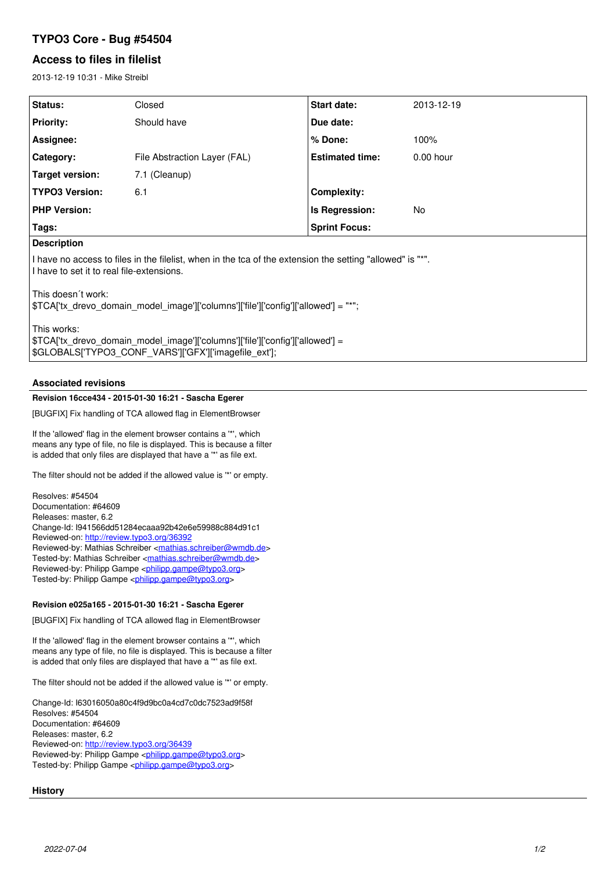# **TYPO3 Core - Bug #54504**

# **Access to files in filelist**

2013-12-19 10:31 - Mike Streibl

| <b>Status:</b>                                                                                             | Closed                       | Start date:            | 2013-12-19  |
|------------------------------------------------------------------------------------------------------------|------------------------------|------------------------|-------------|
| <b>Priority:</b>                                                                                           | Should have                  | Due date:              |             |
| Assignee:                                                                                                  |                              | % Done:                | 100%        |
| Category:                                                                                                  | File Abstraction Layer (FAL) | <b>Estimated time:</b> | $0.00$ hour |
| <b>Target version:</b>                                                                                     | 7.1 (Cleanup)                |                        |             |
| <b>TYPO3 Version:</b>                                                                                      | 6.1                          | Complexity:            |             |
| <b>PHP Version:</b>                                                                                        |                              | Is Regression:         | No.         |
| Tags:                                                                                                      |                              | <b>Sprint Focus:</b>   |             |
| <b>Description</b>                                                                                         |                              |                        |             |
| If have no access to files in the filelist, when in the tca of the extension the setting "allowed" is "*". |                              |                        |             |

I have to set it to real file-extensions.

This doesn´t work:

\$TCA['tx\_drevo\_domain\_model\_image']['columns']['file']['config']['allowed'] = "\*";

This works:

\$TCA['tx\_drevo\_domain\_model\_image']['columns']['file']['config']['allowed'] = \$GLOBALS['TYPO3\_CONF\_VARS']['GFX']['imagefile\_ext'];

# **Associated revisions**

## **Revision 16cce434 - 2015-01-30 16:21 - Sascha Egerer**

[BUGFIX] Fix handling of TCA allowed flag in ElementBrowser

If the 'allowed' flag in the element browser contains a '\*', which means any type of file, no file is displayed. This is because a filter is added that only files are displayed that have a '\*' as file ext.

The filter should not be added if the allowed value is '\*' or empty.

Resolves: #54504 Documentation: #64609 Releases: master, 6.2 Change-Id: I941566dd51284ecaaa92b42e6e59988c884d91c1 Reviewed-on:<http://review.typo3.org/36392> Reviewed-by: Mathias Schreiber [<mathias.schreiber@wmdb.de>](mailto:mathias.schreiber@wmdb.de) Tested-by: Mathias Schreiber <[mathias.schreiber@wmdb.de](mailto:mathias.schreiber@wmdb.de)> Reviewed-by: Philipp Gampe [<philipp.gampe@typo3.org](mailto:philipp.gampe@typo3.org)> Tested-by: Philipp Gampe <[philipp.gampe@typo3.org>](mailto:philipp.gampe@typo3.org)

## **Revision e025a165 - 2015-01-30 16:21 - Sascha Egerer**

[BUGFIX] Fix handling of TCA allowed flag in ElementBrowser

If the 'allowed' flag in the element browser contains a '\*', which means any type of file, no file is displayed. This is because a filter is added that only files are displayed that have a '\*' as file ext.

The filter should not be added if the allowed value is '\*' or empty.

Change-Id: I63016050a80c4f9d9bc0a4cd7c0dc7523ad9f58f Resolves: #54504 Documentation: #64609 Releases: master, 6.2 Reviewed-on:<http://review.typo3.org/36439> Reviewed-by: Philipp Gampe [<philipp.gampe@typo3.org](mailto:philipp.gampe@typo3.org)> Tested-by: Philipp Gampe <[philipp.gampe@typo3.org>](mailto:philipp.gampe@typo3.org)

# **History**